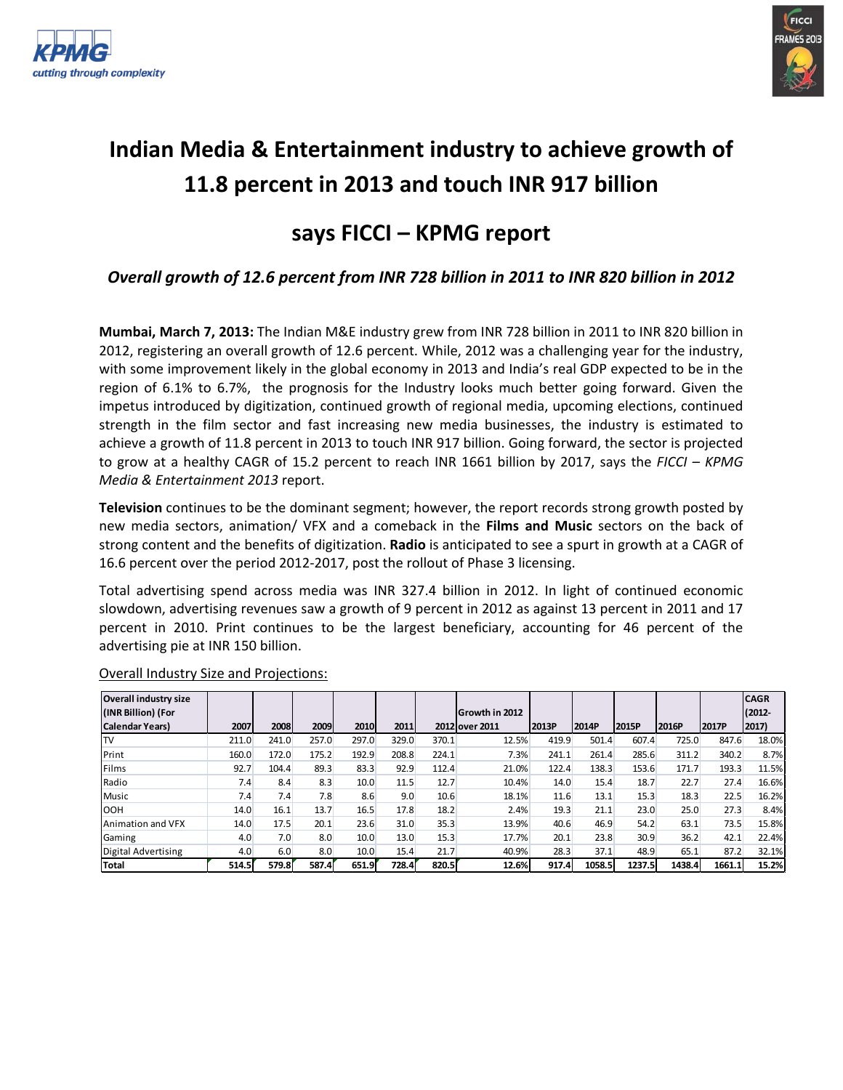



# **Indian Media & Entertainment industry to achieve growth of 11.8 percent in 2013 and touch INR 917 billion**

# **says FICCI – KPMG report**

## *Overall growth of 12.6 percent from INR 728 billion in 2011 to INR 820 billion in 2012*

**Mumbai, March 7, 2013:** The Indian M&E industry grew from INR 728 billion in 2011 to INR 820 billion in 2012, registering an overall growth of 12.6 percent. While, 2012 was a challenging year for the industry, with some improvement likely in the global economy in 2013 and India's real GDP expected to be in the region of 6.1% to 6.7%, the prognosis for the Industry looks much better going forward. Given the impetus introduced by digitization, continued growth of regional media, upcoming elections, continued strength in the film sector and fast increasing new media businesses, the industry is estimated to achieve a growth of 11.8 percent in 2013 to touch INR 917 billion. Going forward, the sector is projected to grow at a healthy CAGR of 15.2 percent to reach INR 1661 billion by 2017, says the *FICCI – KPMG Media & Entertainment 2013* report.

**Television** continues to be the dominant segment; however, the report records strong growth posted by new media sectors, animation/ VFX and a comeback in the **Films and Music** sectors on the back of strong content and the benefits of digitization. **Radio** is anticipated to see a spurt in growth at a CAGR of 16.6 percent over the period 2012-2017, post the rollout of Phase 3 licensing.

Total advertising spend across media was INR 327.4 billion in 2012. In light of continued economic slowdown, advertising revenues saw a growth of 9 percent in 2012 as against 13 percent in 2011 and 17 percent in 2010. Print continues to be the largest beneficiary, accounting for 46 percent of the advertising pie at INR 150 billion.

| <b>Overall industry size</b> |       |       |       |       |       |       |                |       |        |        |        |        | <b>CAGR</b> |
|------------------------------|-------|-------|-------|-------|-------|-------|----------------|-------|--------|--------|--------|--------|-------------|
| (INR Billion) (For           |       |       |       |       |       |       | Growth in 2012 |       |        |        |        |        | $(2012 -$   |
| <b>Calendar Years)</b>       | 2007  | 2008  | 2009  | 2010  | 2011  |       | 2012 over 2011 | 2013P | 2014P  | 2015P  | 2016P  | 2017P  | 2017)       |
| ITV                          | 211.0 | 241.0 | 257.0 | 297.0 | 329.0 | 370.1 | 12.5%          | 419.9 | 501.4  | 607.4  | 725.0  | 847.6  | 18.0%       |
| <b>Print</b>                 | 160.0 | 172.0 | 175.2 | 192.9 | 208.8 | 224.1 | 7.3%           | 241.1 | 261.4  | 285.6  | 311.2  | 340.2  | 8.7%        |
| Films                        | 92.7  | 104.4 | 89.3  | 83.3  | 92.9  | 112.4 | 21.0%          | 122.4 | 138.3  | 153.6  | 171.7  | 193.3  | 11.5%       |
| Radio                        | 7.4   | 8.4   | 8.3   | 10.0  | 11.5  | 12.7  | 10.4%          | 14.0  | 15.4   | 18.7   | 22.7   | 27.4   | 16.6%       |
| Music                        | 7.4   | 7.4   | 7.8   | 8.6   | 9.0   | 10.6  | 18.1%          | 11.6  | 13.1   | 15.3   | 18.3   | 22.5   | 16.2%       |
| <b>IOOH</b>                  | 14.0  | 16.1  | 13.7  | 16.5  | 17.8  | 18.2  | 2.4%           | 19.3  | 21.1   | 23.0   | 25.0   | 27.3   | 8.4%        |
| Animation and VFX            | 14.0  | 17.5  | 20.1  | 23.6  | 31.0  | 35.3  | 13.9%          | 40.6  | 46.9   | 54.2   | 63.1   | 73.5   | 15.8%       |
| Gaming                       | 4.0   | 7.0   | 8.0   | 10.0  | 13.0  | 15.3  | 17.7%          | 20.1  | 23.8   | 30.9   | 36.2   | 42.1   | 22.4%       |
| Digital Advertising          | 4.0   | 6.0   | 8.0   | 10.0  | 15.4  | 21.7  | 40.9%          | 28.3  | 37.1   | 48.9   | 65.1   | 87.2   | 32.1%       |
| Total                        | 514.5 | 579.8 | 587.4 | 651.9 | 728.4 | 820.5 | 12.6%          | 917.4 | 1058.5 | 1237.5 | 1438.4 | 1661.1 | 15.2%       |

#### Overall Industry Size and Projections: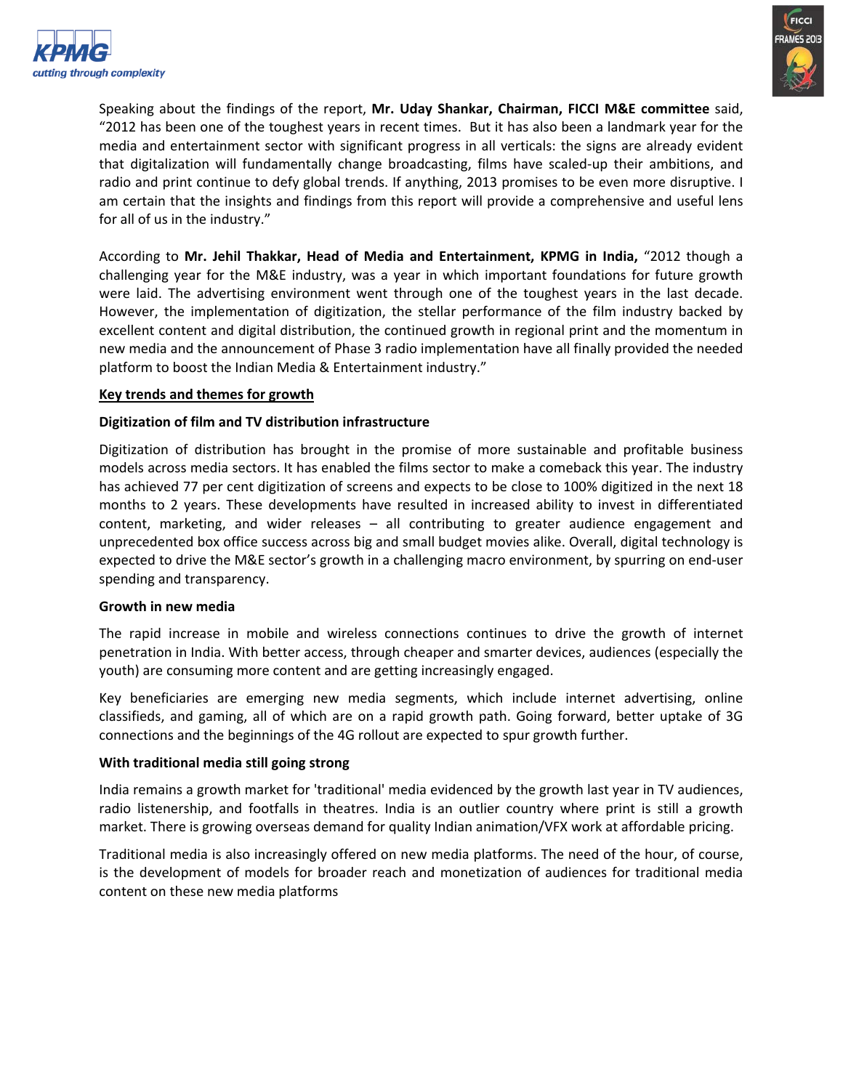



Speaking about the findings of the report, **Mr. Uday Shankar, Chairman, FICCI M&E committee** said, "2012 has been one of the toughest years in recent times. But it has also been a landmark year for the media and entertainment sector with significant progress in all verticals: the signs are already evident that digitalization will fundamentally change broadcasting, films have scaled-up their ambitions, and radio and print continue to defy global trends. If anything, 2013 promises to be even more disruptive. I am certain that the insights and findings from this report will provide a comprehensive and useful lens for all of us in the industry."

According to **Mr. Jehil Thakkar, Head of Media and Entertainment, KPMG in India,** "2012 though a challenging year for the M&E industry, was a year in which important foundations for future growth were laid. The advertising environment went through one of the toughest years in the last decade. However, the implementation of digitization, the stellar performance of the film industry backed by excellent content and digital distribution, the continued growth in regional print and the momentum in new media and the announcement of Phase 3 radio implementation have all finally provided the needed platform to boost the Indian Media & Entertainment industry."

#### **Key trends and themes for growth**

#### **Digitization of film and TV distribution infrastructure**

Digitization of distribution has brought in the promise of more sustainable and profitable business models across media sectors. It has enabled the films sector to make a comeback this year. The industry has achieved 77 per cent digitization of screens and expects to be close to 100% digitized in the next 18 months to 2 years. These developments have resulted in increased ability to invest in differentiated content, marketing, and wider releases – all contributing to greater audience engagement and unprecedented box office success across big and small budget movies alike. Overall, digital technology is expected to drive the M&E sector's growth in a challenging macro environment, by spurring on end-user spending and transparency.

#### **Growth in new media**

The rapid increase in mobile and wireless connections continues to drive the growth of internet penetration in India. With better access, through cheaper and smarter devices, audiences (especially the youth) are consuming more content and are getting increasingly engaged.

Key beneficiaries are emerging new media segments, which include internet advertising, online classifieds, and gaming, all of which are on a rapid growth path. Going forward, better uptake of 3G connections and the beginnings of the 4G rollout are expected to spur growth further.

#### **With traditional media still going strong**

India remains a growth market for 'traditional' media evidenced by the growth last year in TV audiences, radio listenership, and footfalls in theatres. India is an outlier country where print is still a growth market. There is growing overseas demand for quality Indian animation/VFX work at affordable pricing.

Traditional media is also increasingly offered on new media platforms. The need of the hour, of course, is the development of models for broader reach and monetization of audiences for traditional media content on these new media platforms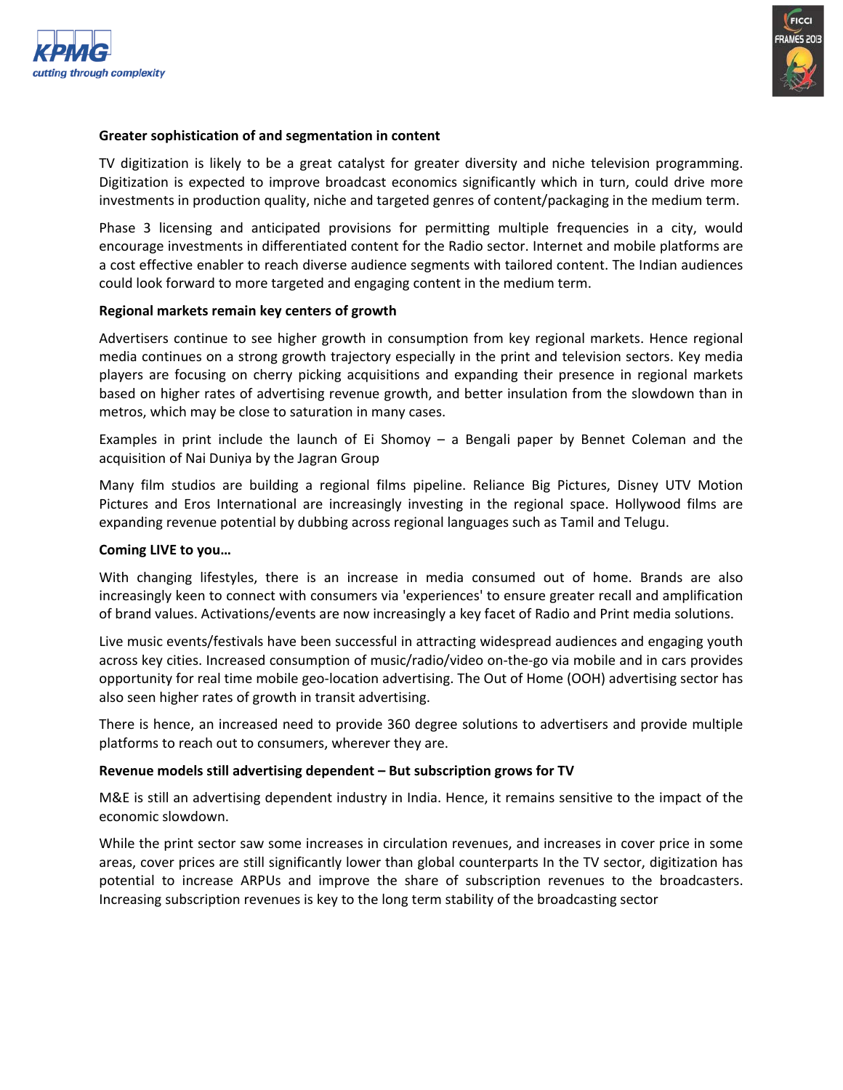



#### **Greater sophistication of and segmentation in content**

TV digitization is likely to be a great catalyst for greater diversity and niche television programming. Digitization is expected to improve broadcast economics significantly which in turn, could drive more investments in production quality, niche and targeted genres of content/packaging in the medium term.

Phase 3 licensing and anticipated provisions for permitting multiple frequencies in a city, would encourage investments in differentiated content for the Radio sector. Internet and mobile platforms are a cost effective enabler to reach diverse audience segments with tailored content. The Indian audiences could look forward to more targeted and engaging content in the medium term.

#### **Regional markets remain key centers of growth**

Advertisers continue to see higher growth in consumption from key regional markets. Hence regional media continues on a strong growth trajectory especially in the print and television sectors. Key media players are focusing on cherry picking acquisitions and expanding their presence in regional markets based on higher rates of advertising revenue growth, and better insulation from the slowdown than in metros, which may be close to saturation in many cases.

Examples in print include the launch of Ei Shomoy – a Bengali paper by Bennet Coleman and the acquisition of Nai Duniya by the Jagran Group

Many film studios are building a regional films pipeline. Reliance Big Pictures, Disney UTV Motion Pictures and Eros International are increasingly investing in the regional space. Hollywood films are expanding revenue potential by dubbing across regional languages such as Tamil and Telugu.

#### **Coming LIVE to you…**

With changing lifestyles, there is an increase in media consumed out of home. Brands are also increasingly keen to connect with consumers via 'experiences' to ensure greater recall and amplification of brand values. Activations/events are now increasingly a key facet of Radio and Print media solutions.

Live music events/festivals have been successful in attracting widespread audiences and engaging youth across key cities. Increased consumption of music/radio/video on-the-go via mobile and in cars provides opportunity for real time mobile geo-location advertising. The Out of Home (OOH) advertising sector has also seen higher rates of growth in transit advertising.

There is hence, an increased need to provide 360 degree solutions to advertisers and provide multiple platforms to reach out to consumers, wherever they are.

#### **Revenue models still advertising dependent – But subscription grows for TV**

M&E is still an advertising dependent industry in India. Hence, it remains sensitive to the impact of the economic slowdown.

While the print sector saw some increases in circulation revenues, and increases in cover price in some areas, cover prices are still significantly lower than global counterparts In the TV sector, digitization has potential to increase ARPUs and improve the share of subscription revenues to the broadcasters. Increasing subscription revenues is key to the long term stability of the broadcasting sector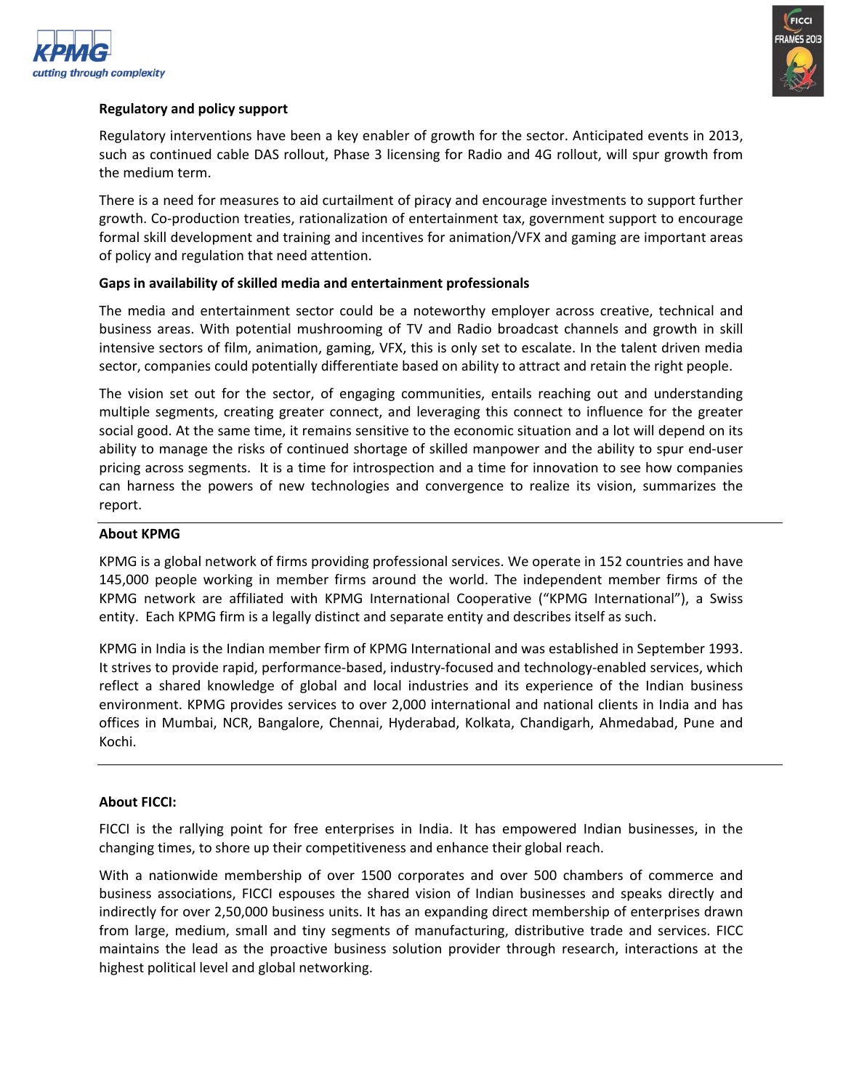



#### **Regulatory and policy support**

Regulatory interventions have been a key enabler of growth for the sector. Anticipated events in 2013, such as continued cable DAS rollout, Phase 3 licensing for Radio and 4G rollout, will spur growth from the medium term.

There is a need for measures to aid curtailment of piracy and encourage investments to support further growth. Co-production treaties, rationalization of entertainment tax, government support to encourage formal skill development and training and incentives for animation/VFX and gaming are important areas of policy and regulation that need attention.

#### **Gaps in availability of skilled media and entertainment professionals**

The media and entertainment sector could be a noteworthy employer across creative, technical and business areas. With potential mushrooming of TV and Radio broadcast channels and growth in skill intensive sectors of film, animation, gaming, VFX, this is only set to escalate. In the talent driven media sector, companies could potentially differentiate based on ability to attract and retain the right people.

The vision set out for the sector, of engaging communities, entails reaching out and understanding multiple segments, creating greater connect, and leveraging this connect to influence for the greater social good. At the same time, it remains sensitive to the economic situation and a lot will depend on its ability to manage the risks of continued shortage of skilled manpower and the ability to spur end-user pricing across segments. It is a time for introspection and a time for innovation to see how companies can harness the powers of new technologies and convergence to realize its vision, summarizes the report.

#### **About KPMG**

KPMG is a global network of firms providing professional services. We operate in 152 countries and have 145,000 people working in member firms around the world. The independent member firms of the KPMG network are affiliated with KPMG International Cooperative ("KPMG International"), a Swiss entity. Each KPMG firm is a legally distinct and separate entity and describes itself as such.

KPMG in India is the Indian member firm of KPMG International and was established in September 1993. It strives to provide rapid, performance-based, industry-focused and technology-enabled services, which reflect a shared knowledge of global and local industries and its experience of the Indian business environment. KPMG provides services to over 2,000 international and national clients in India and has offices in Mumbai, NCR, Bangalore, Chennai, Hyderabad, Kolkata, Chandigarh, Ahmedabad, Pune and Kochi.

#### **About FICCI:**

FICCI is the rallying point for free enterprises in India. It has empowered Indian businesses, in the changing times, to shore up their competitiveness and enhance their global reach.

With a nationwide membership of over 1500 corporates and over 500 chambers of commerce and business associations, FICCI espouses the shared vision of Indian businesses and speaks directly and indirectly for over 2,50,000 business units. It has an expanding direct membership of enterprises drawn from large, medium, small and tiny segments of manufacturing, distributive trade and services. FICC maintains the lead as the proactive business solution provider through research, interactions at the highest political level and global networking.